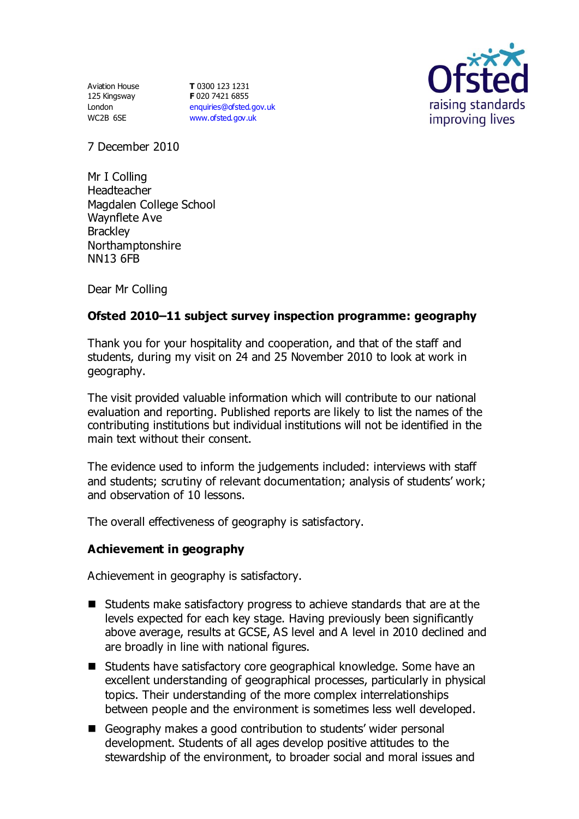Aviation House 125 Kingsway London WC2B 6SE

**T** 0300 123 1231 **F** 020 7421 6855 [enquiries@ofsted.gov.uk](mailto:enquiries@ofsted.gov.uk) [www.ofsted.gov.uk](http://www.ofsted.gov.uk/)



7 December 2010

Mr I Colling Headteacher Magdalen College School Waynflete Ave **Brackley** Northamptonshire NN13 6FB

Dear Mr Colling

## **Ofsted 2010–11 subject survey inspection programme: geography**

Thank you for your hospitality and cooperation, and that of the staff and students, during my visit on 24 and 25 November 2010 to look at work in geography.

The visit provided valuable information which will contribute to our national evaluation and reporting. Published reports are likely to list the names of the contributing institutions but individual institutions will not be identified in the main text without their consent.

The evidence used to inform the judgements included: interviews with staff and students; scrutiny of relevant documentation; analysis of students' work; and observation of 10 lessons.

The overall effectiveness of geography is satisfactory.

### **Achievement in geography**

Achievement in geography is satisfactory.

- Students make satisfactory progress to achieve standards that are at the levels expected for each key stage. Having previously been significantly above average, results at GCSE, AS level and A level in 2010 declined and are broadly in line with national figures.
- Students have satisfactory core geographical knowledge. Some have an excellent understanding of geographical processes, particularly in physical topics. Their understanding of the more complex interrelationships between people and the environment is sometimes less well developed.
- Geography makes a good contribution to students' wider personal development. Students of all ages develop positive attitudes to the stewardship of the environment, to broader social and moral issues and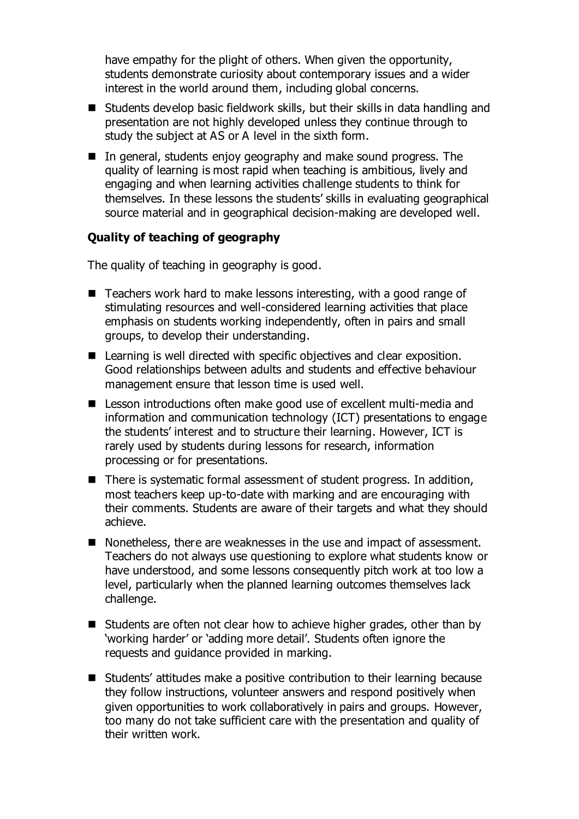have empathy for the plight of others. When given the opportunity, students demonstrate curiosity about contemporary issues and a wider interest in the world around them, including global concerns.

- Students develop basic fieldwork skills, but their skills in data handling and presentation are not highly developed unless they continue through to study the subject at AS or A level in the sixth form.
- In general, students enjoy geography and make sound progress. The quality of learning is most rapid when teaching is ambitious, lively and engaging and when learning activities challenge students to think for themselves. In these lessons the students' skills in evaluating geographical source material and in geographical decision-making are developed well.

## **Quality of teaching of geography**

The quality of teaching in geography is good.

- Teachers work hard to make lessons interesting, with a good range of stimulating resources and well-considered learning activities that place emphasis on students working independently, often in pairs and small groups, to develop their understanding.
- Learning is well directed with specific objectives and clear exposition. Good relationships between adults and students and effective behaviour management ensure that lesson time is used well.
- Lesson introductions often make good use of excellent multi-media and information and communication technology (ICT) presentations to engage the students' interest and to structure their learning. However, ICT is rarely used by students during lessons for research, information processing or for presentations.
- There is systematic formal assessment of student progress. In addition, most teachers keep up-to-date with marking and are encouraging with their comments. Students are aware of their targets and what they should achieve.
- Nonetheless, there are weaknesses in the use and impact of assessment. Teachers do not always use questioning to explore what students know or have understood, and some lessons consequently pitch work at too low a level, particularly when the planned learning outcomes themselves lack challenge.
- Students are often not clear how to achieve higher grades, other than by 'working harder' or 'adding more detail'. Students often ignore the requests and guidance provided in marking.
- Students' attitudes make a positive contribution to their learning because they follow instructions, volunteer answers and respond positively when given opportunities to work collaboratively in pairs and groups. However, too many do not take sufficient care with the presentation and quality of their written work.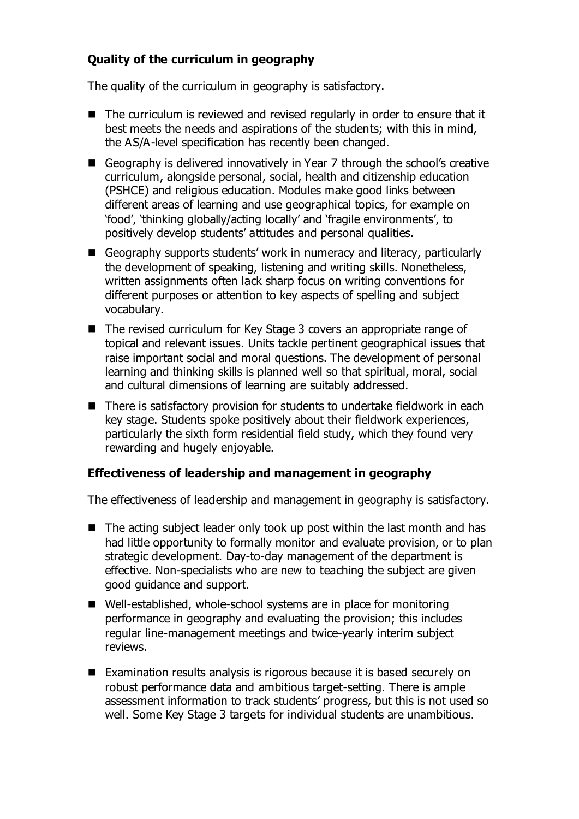# **Quality of the curriculum in geography**

The quality of the curriculum in geography is satisfactory.

- The curriculum is reviewed and revised regularly in order to ensure that it best meets the needs and aspirations of the students; with this in mind, the AS/A-level specification has recently been changed.
- Geography is delivered innovatively in Year 7 through the school's creative curriculum, alongside personal, social, health and citizenship education (PSHCE) and religious education. Modules make good links between different areas of learning and use geographical topics, for example on 'food', 'thinking globally/acting locally' and 'fragile environments', to positively develop students' attitudes and personal qualities.
- Geography supports students' work in numeracy and literacy, particularly the development of speaking, listening and writing skills. Nonetheless, written assignments often lack sharp focus on writing conventions for different purposes or attention to key aspects of spelling and subject vocabulary.
- The revised curriculum for Key Stage 3 covers an appropriate range of topical and relevant issues. Units tackle pertinent geographical issues that raise important social and moral questions. The development of personal learning and thinking skills is planned well so that spiritual, moral, social and cultural dimensions of learning are suitably addressed.
- There is satisfactory provision for students to undertake fieldwork in each key stage. Students spoke positively about their fieldwork experiences, particularly the sixth form residential field study, which they found very rewarding and hugely enjoyable.

# **Effectiveness of leadership and management in geography**

The effectiveness of leadership and management in geography is satisfactory.

- $\blacksquare$  The acting subject leader only took up post within the last month and has had little opportunity to formally monitor and evaluate provision, or to plan strategic development. Day-to-day management of the department is effective. Non-specialists who are new to teaching the subject are given good guidance and support.
- Well-established, whole-school systems are in place for monitoring performance in geography and evaluating the provision; this includes regular line-management meetings and twice-yearly interim subject reviews.
- Examination results analysis is rigorous because it is based securely on robust performance data and ambitious target-setting. There is ample assessment information to track students' progress, but this is not used so well. Some Key Stage 3 targets for individual students are unambitious.